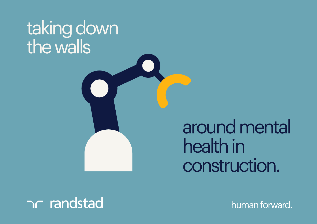# taking down the walls

around mental health in construction.

### n randstad

human forward.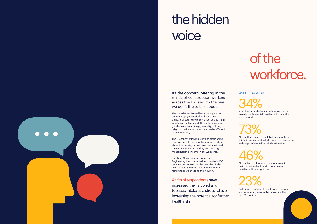It's the concern loitering in the minds of construction workers across the UK, and it's the one we don't like to talk about.

The NHS defines Mental health as a person's emotional, psychological and social wellbeing. It affects how we think, feel and act in all situations. It affect us all. No matter a person's gender, race, wealth, age, sexuality, culture, religion or education, everyone can be affected in their own way.

### of the workforce.

The UK construction industry has made some positive steps to tackling the stigma of talking about this on-site, but we have just scratched the surface of understanding and tackling mental health concerns in our workforce.

Randstad Construction, Property and Engineering has conducted a survey to 3,400 construction workers to discover the hidden voice of our workforce and understand the factors that are affecting the industry.

A fifth of respondents have increased their alcohol and tobacco intake as a stress reliever, increasing the potential for further health risks.

## the hidden voice

Almost three quarters feel that their employers within the construction industry do not recognise early signs of mental health deterioration.

34%

### 23%

#### we discovered

More than a third of construction workers have experienced a mental health condition in the last 12 months.

Just under a quarter of construction workers are considering leaving the industry in the next 12 months.

Almost half of all women responding said that they were dealing with poor mental health conditions right now

### 46%

### 73%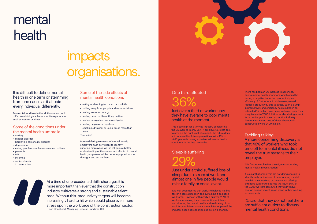## mental health

### impacts organisations.

It is difficult to define mental health in one term or stemming from one cause as it affects every individual differently.

From childhood to adulthood, the causes could differ from biological factors to life experiences such as trauma or abuse.

#### Some of the conditions under the mental health umbrella

- anxiety
- bipolar disorder • borderline personality disorder
- depression
- 
- eating problems such as anorexia or bulimia
- paranoia
- PTSD
- insomnia
- schizophrenia ...to name a few.
- 

#### Some of the side effects of mental health conditions

- eating or sleeping too much or too little
- pulling away from people and usual activities
- having low or no energy
- feeling numb or like nothing matters
- having unexplained aches and pains
- feeling helpless or hopeless
- smoking, drinking, or using drugs more than usual

\*Source: NHS

Due to differing elements of mental health, employers must be vigilant to identify suffering employees. As the UK gains a better understanding of the causes and effects of mental health, employers will be better equipped to spot the signs and act on them.



Just over a third of workers say they have average to poor mental health at the moment.

> It is clear that employers are not doing enough to identify early indications of deteriorating mental health in their workers, or they are not offering extensive support to address the issue. 56%, of the 3,200 workers asked, felt they didn't have enough support structures in place in their working environments.

This is too high for a thriving industry considering the UK average is only 26%. If employers are not able to provide the right level of support, the future does not bode well for future generations, with 43% of 18-25 year olds having experienced mental health conditions in the last 12 months.

Just under a third suffered loss of sleep due to stress at work and almost one in five people would miss a family or social event.

It is well documented that work/life balance is a key factor in job satisfaction and sustaining a balanced workforce. However, with nearly a quarter (20%) of workers increasing their consumption of tobacco and alcohol, the overall health and well-being of our workforce will deteriorate at a much faster pace if the industry does not recognise and action a change?



### One third affected 36%

#### Sleep is suffering

Tackling talking A more concerning discovery is that 46% of workers who took time off for mental illness did not reveal the true reasons to their employer.

This further emphasises the stigma surrounding mental health in construction.

 ⅔ said that they do not feel there are sufficient outlets to discuss mental health conditions.

29%

At a time of unprecedented skills shortages it is more important than ever that the construction industry cultivates a strong and sustainable talent base. Without this, productivity targets will become increasingly hard to hit which could place even more stress upon the workforce of the construction sector. Owen Goodhead, Managing Director, Randstad CPE.

There has been an 8% increase in absences, due to mental health conditions which could be having a negative impact on productivity and efficiency. A further one in six have expressed reduced productivity due to stress. Such a slump in productivity and efficiency has resulted in an estimated 1.7 million days being lost every year. This is equivalent to 7000 full-time workers being absent for an entire year in the construction industry. The total estimated cost of these absences in construction were £400 million.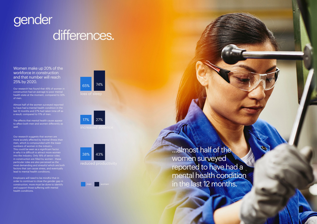## gender differences.

Women make up 20% of the workforce in construction and that number will reach 25% by 2020.

Our research has found that 45% of women in construction had an average to poor mental health state at the moment, compared to 32% of men.

Almost half of the women surveyed reported to have had a mental health condition in the last 12 months and 27% had taken time off as a result; compared to 17% of men.

The effects that mental health cause appear to affect both men and women differently as well.

> ...almost half of the women surveyed reported to have had a mental health condition in the last 12 months.



Our research suggests that women are more acutely affected by mental illness than men, which is compounded with the lower numbers of women in the industry. This could be seen as a significant factor in why it is difficult to attract more women into the industry. Only 16% of senior roles in construction are filled by women - these particular roles are also perceived as the most demanding and stressful which are both factors that can cause stress, and eventually lead to mental health conditions.

Employers will need to be mindful that in order to continue to close the gender gap in construction, more must be done to identify and support those suffering with mental health conditions.

increased absence



**n** women



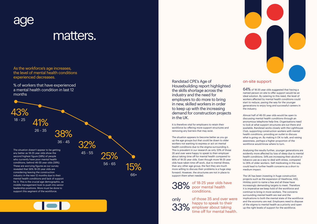

### matters.

As the workforce's age increases, the level of mental health conditions experienced decreases.

% of workers that have experienced a mental health condition in last 12 months

Randstad CPE's Age of Housebuilding report highlighted the skills shortage across the industry and the need for employers to do more to bring in new, skilled workers in order to keep up with the increasing demand for construction projects in the UK.

It is therefore vital for employers to retain their workforce by offering more support structures and removing any barriers that may exist.

 $64\%$  of 18-35 year olds suggested that having a named person on site to offer support would be an ideal solution. By catering to this need, the level of workers affected by mental health conditions could start to reduce, paving the way for the younger generations to enjoy long and successful careers in the industry.

The situation appears to become better as you go up the age groups but that could be down to older workers not wanting to express or act on mental health conditions due to the stigma surrounding it. This is prevalent in our research as only 33% of those 35 and over were happy to speak to their employer about taking time off for mental health compared to 66% of 18-25 year olds. Even though more 18-25 year olds have taken time off work, due to mental illness, than any other age group, the fact they are much more willing to discuss their problems is a huge step forward. However, the structures are not in place to support them when needed.





of those 35 and over were happy to speak to their **33% employer about taking** time off for mental health. Almost half of 46-55 year olds would be open to discussing mental health conditions through an anonymous telephone help-line. Organisations need to look at what support structures are out there and available. Randstad works closely with the Lighthouse Club, supporting construction workers with mental health conditions, providing an outlet to discuss what is going on. By making it OK to talk, and raising awareness, perhaps a higher proportion of the workforce would know where to turn.

Analysing the results further, younger generations are evidently more affected by loss of sleep due to mental health conditions. 54% are increasing their alcohol or tobacco use as a way to deal with stress, compared to 26% of older workers. Self medicating in this way, could lead to further health concerns as a short to medium impact.

The UK has been investing in huge construction projects such as the expansion of Heathrow, HS2, Hinkley point to name a few and all these have increasingly demanding targets to meet. Therefore it is imperative we keep hold of the workforce and continue to bring in more workers. The concerns surrounding mental health are real and the implications to both the mental state of the workforce and the economy are real. Employers need to dispose of the stigma to mental health as a priority and open up the right levels of support for the workforce.

for it. This is the crucial age demographic, as middle management look to push into senior leadership positions. More must be done to support this segment of the workforce.

of 18-25 year olds have 38% of 18-25 year olds had conditions.

only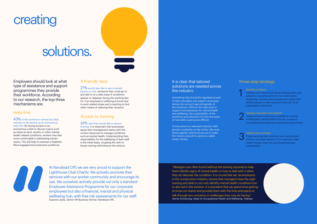### creating

### solutions.

#### Help-line

43% of the workforce named the ideal solution to be setting up an anonymous help-line. By having access to an anonymous outlet to discuss topics such as stress at work, anxiety or other mental health related conditions; workers may feel more comfortable in addressing certain topics. This will help to maintain a healthier. More engaged and productive workforce.

Employers should look at what type of assistance and support programmes they provide their workforce. According to our research, the top three mechanisms are:

#### A friendly face

27% would also like to see a named person on site, someone they could go to and talk to on a daily basis if conditions appear or reappear during the working day. Or, if an employee is suffering at home due to work related stress and is wanting to find other means of relieving their situation.

#### Access to training

24% said they would like in person training. It is important that businesses equip their management teams with the correct resources to manage conditions such as mental health. Understanding their responsibility for the wellbeing of their staff is the initial steps, coupling this with inhouse training will enhance the solution.

At Randstad CPE we are very proud to support the Lighthouse Club Charity. We actively promote their services with our worker community and encourage its use. We ourselves actively provide not only a standard Employee Assistance Programme for our corporate employees but also a financial, mental and physical wellbeing hub, with free risk assessments for our staff. Suzanne Jacks, Senior HR Business Partner, Randstad CPE.

#### It is clear that tailored solutions are needed across the industry.

Something that should be regulated as part of their site safety and support structures, taking into account age and gender of the workforce. Without the right level of support and awareness for mental health and wellbeing, the sustainability of the workforce and attraction for the next wave of new skills could prove difficult.

Construction is a well paid industry, with growth constantly on the incline. We must band together and do all we can to make the industry and all its sectors a viable career choice.







#### Develop a culture.

Address your vision and values; looking after your people is a business priority! You need visible leadership, policies and procedures in place that enable people to feel supported and part of an organisation that cares.

#### Training, education and support.

Organisations could look at resilience training, mindfulness, mental health first aid, access to counselling and employee assistance programmes.

#### Added value activities.

These are tools that reinforce your training and culture, not used instead of. For example, yoga, health checks, free fruit and subsidised gym membership.

"Managers are often found without the training required to help them identify signs of mental health or how to deal with it when they do discover the condition. It is crucial that we, as employers in the construction industry, ensure that managers have the right training and skills to not only identify mental health conditions but to also aid in the solution. It is prevalent that we spend time getting to know our teams and provide them with the time and space to talk through any concerns or challenges they may be having." Jennie Armstrong, Head of Occupational Health and Wellbeing, Tideway

#### Three step strategy